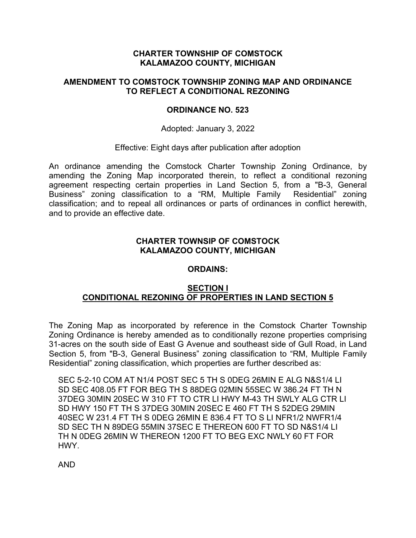## **CHARTER TOWNSHIP OF COMSTOCK KALAMAZOO COUNTY, MICHIGAN**

### **AMENDMENT TO COMSTOCK TOWNSHIP ZONING MAP AND ORDINANCE TO REFLECT A CONDITIONAL REZONING**

#### **ORDINANCE NO. 523**

Adopted: January 3, 2022

#### Effective: Eight days after publication after adoption

An ordinance amending the Comstock Charter Township Zoning Ordinance, by amending the Zoning Map incorporated therein, to reflect a conditional rezoning agreement respecting certain properties in Land Section 5, from a "B-3, General Business" zoning classification to a "RM, Multiple Family Residential" zoning classification; and to repeal all ordinances or parts of ordinances in conflict herewith, and to provide an effective date.

### **CHARTER TOWNSIP OF COMSTOCK KALAMAZOO COUNTY, MICHIGAN**

#### **ORDAINS:**

## **SECTION I CONDITIONAL REZONING OF PROPERTIES IN LAND SECTION 5**

The Zoning Map as incorporated by reference in the Comstock Charter Township Zoning Ordinance is hereby amended as to conditionally rezone properties comprising 31-acres on the south side of East G Avenue and southeast side of Gull Road, in Land Section 5, from "B-3, General Business" zoning classification to "RM, Multiple Family Residential" zoning classification, which properties are further described as:

SEC 5-2-10 COM AT N1/4 POST SEC 5 TH S 0DEG 26MIN E ALG N&S1/4 LI SD SEC 408.05 FT FOR BEG TH S 88DEG 02MIN 55SEC W 386.24 FT TH N 37DEG 30MIN 20SEC W 310 FT TO CTR LI HWY M-43 TH SWLY ALG CTR LI SD HWY 150 FT TH S 37DEG 30MIN 20SEC E 460 FT TH S 52DEG 29MIN 40SEC W 231.4 FT TH S 0DEG 26MIN E 836.4 FT TO S LI NFR1/2 NWFR1/4 SD SEC TH N 89DEG 55MIN 37SEC E THEREON 600 FT TO SD N&S1/4 LI TH N 0DEG 26MIN W THEREON 1200 FT TO BEG EXC NWLY 60 FT FOR HWY.

AND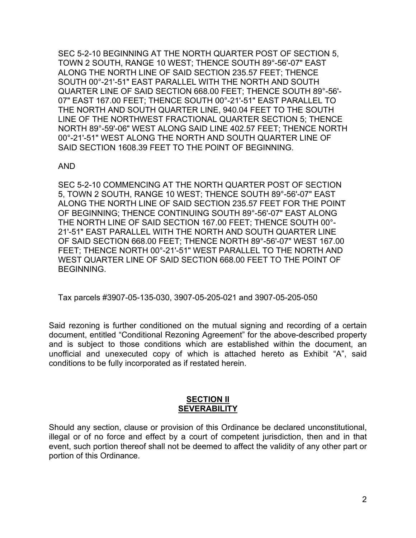SEC 5-2-10 BEGINNING AT THE NORTH QUARTER POST OF SECTION 5, TOWN 2 SOUTH, RANGE 10 WEST; THENCE SOUTH 89°-56'-07" EAST ALONG THE NORTH LINE OF SAID SECTION 235.57 FEET; THENCE SOUTH 00°-21'-51" EAST PARALLEL WITH THE NORTH AND SOUTH QUARTER LINE OF SAID SECTION 668.00 FEET; THENCE SOUTH 89°-56'- 07" EAST 167.00 FEET; THENCE SOUTH 00°-21'-51" EAST PARALLEL TO THE NORTH AND SOUTH QUARTER LINE, 940.04 FEET TO THE SOUTH LINE OF THE NORTHWEST FRACTIONAL QUARTER SECTION 5; THENCE NORTH 89°-59'-06" WEST ALONG SAID LINE 402.57 FEET; THENCE NORTH 00°-21'-51" WEST ALONG THE NORTH AND SOUTH QUARTER LINE OF SAID SECTION 1608.39 FEET TO THE POINT OF BEGINNING.

### AND

SEC 5-2-10 COMMENCING AT THE NORTH QUARTER POST OF SECTION 5, TOWN 2 SOUTH, RANGE 10 WEST; THENCE SOUTH 89°-56'-07" EAST ALONG THE NORTH LINE OF SAID SECTION 235.57 FEET FOR THE POINT OF BEGINNING; THENCE CONTINUING SOUTH 89°-56'-07" EAST ALONG THE NORTH LINE OF SAID SECTION 167.00 FEET; THENCE SOUTH 00°- 21'-51" EAST PARALLEL WITH THE NORTH AND SOUTH QUARTER LINE OF SAID SECTION 668.00 FEET; THENCE NORTH 89°-56'-07" WEST 167.00 FEET; THENCE NORTH 00°-21'-51" WEST PARALLEL TO THE NORTH AND WEST QUARTER LINE OF SAID SECTION 668.00 FEET TO THE POINT OF BEGINNING.

Tax parcels #3907-05-135-030, 3907-05-205-021 and 3907-05-205-050

Said rezoning is further conditioned on the mutual signing and recording of a certain document, entitled "Conditional Rezoning Agreement" for the above-described property and is subject to those conditions which are established within the document, an unofficial and unexecuted copy of which is attached hereto as Exhibit "A", said conditions to be fully incorporated as if restated herein.

### **SECTION II SEVERABILITY**

Should any section, clause or provision of this Ordinance be declared unconstitutional, illegal or of no force and effect by a court of competent jurisdiction, then and in that event, such portion thereof shall not be deemed to affect the validity of any other part or portion of this Ordinance.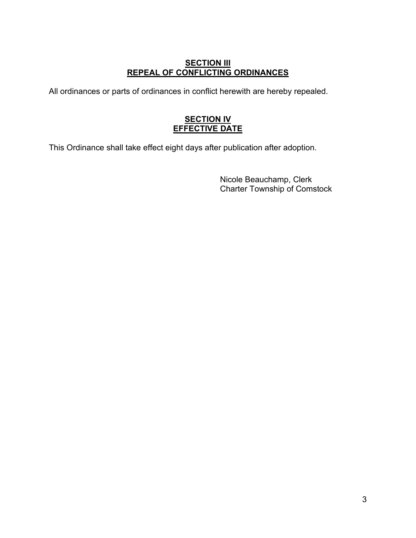# **SECTION III REPEAL OF CONFLICTING ORDINANCES**

All ordinances or parts of ordinances in conflict herewith are hereby repealed.

# **SECTION IV EFFECTIVE DATE**

This Ordinance shall take effect eight days after publication after adoption.

Nicole Beauchamp, Clerk Charter Township of Comstock